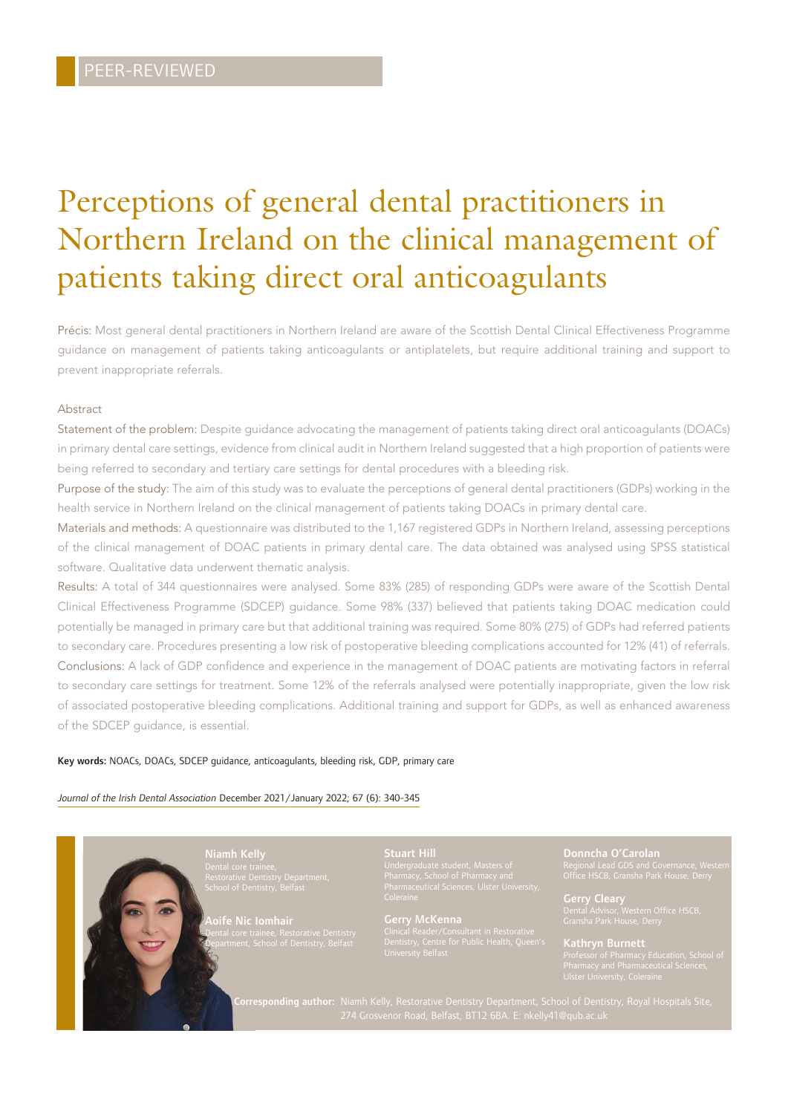# Perceptions of general dental practitioners in Northern Ireland on the clinical management of patients taking direct oral anticoagulants

Précis: Most general dental practitioners in Northern Ireland are aware of the Scottish Dental Clinical Effectiveness Programme guidance on management of patients taking anticoagulants or antiplatelets, but require additional training and support to prevent inappropriate referrals.

### Abstract

Statement of the problem: Despite guidance advocating the management of patients taking direct oral anticoagulants (DOACs) in primary dental care settings, evidence from clinical audit in Northern Ireland suggested that a high proportion of patients were being referred to secondary and tertiary care settings for dental procedures with a bleeding risk.

Purpose of the study: The aim of this study was to evaluate the perceptions of general dental practitioners (GDPs) working in the health service in Northern Ireland on the clinical management of patients taking DOACs in primary dental care.

Materials and methods: A questionnaire was distributed to the 1,167 registered GDPs in Northern Ireland, assessing perceptions of the clinical management of DOAC patients in primary dental care. The data obtained was analysed using SPSS statistical software. Qualitative data underwent thematic analysis.

Results: A total of 344 questionnaires were analysed. Some 83% (285) of responding GDPs were aware of the Scottish Dental Clinical Effectiveness Programme (SDCEP) guidance. Some 98% (337) believed that patients taking DOAC medication could potentially be managed in primary care but that additional training was required. Some 80% (275) of GDPs had referred patients to secondary care. Procedures presenting a low risk of postoperative bleeding complications accounted for 12% (41) of referrals. Conclusions: A lack of GDP confidence and experience in the management of DOAC patients are motivating factors in referral to secondary care settings for treatment. Some 12% of the referrals analysed were potentially inappropriate, given the low risk of associated postoperative bleeding complications. Additional training and support for GDPs, as well as enhanced awareness of the SDCEP guidance, is essential.

### Key words: NOACs, DOACs, SDCEP guidance, anticoagulants, bleeding risk, GDP, primary care

### *Journal of the Irish Dental Association* December 2021/January 2022; 67 (6): 340-345

Aoife Nic Iomhair Dental core trainee, Restorative Dentistry Department, School of Dentistry, Belfast

Gerry McKenna<br>Clinical Reader/Consultant in Restorative

Donncha O'Carolan

Gerry Cleary Dental Advisor, Western Office HSCB,

Kathryn Burnett Professor of Pharmacy Education, School of